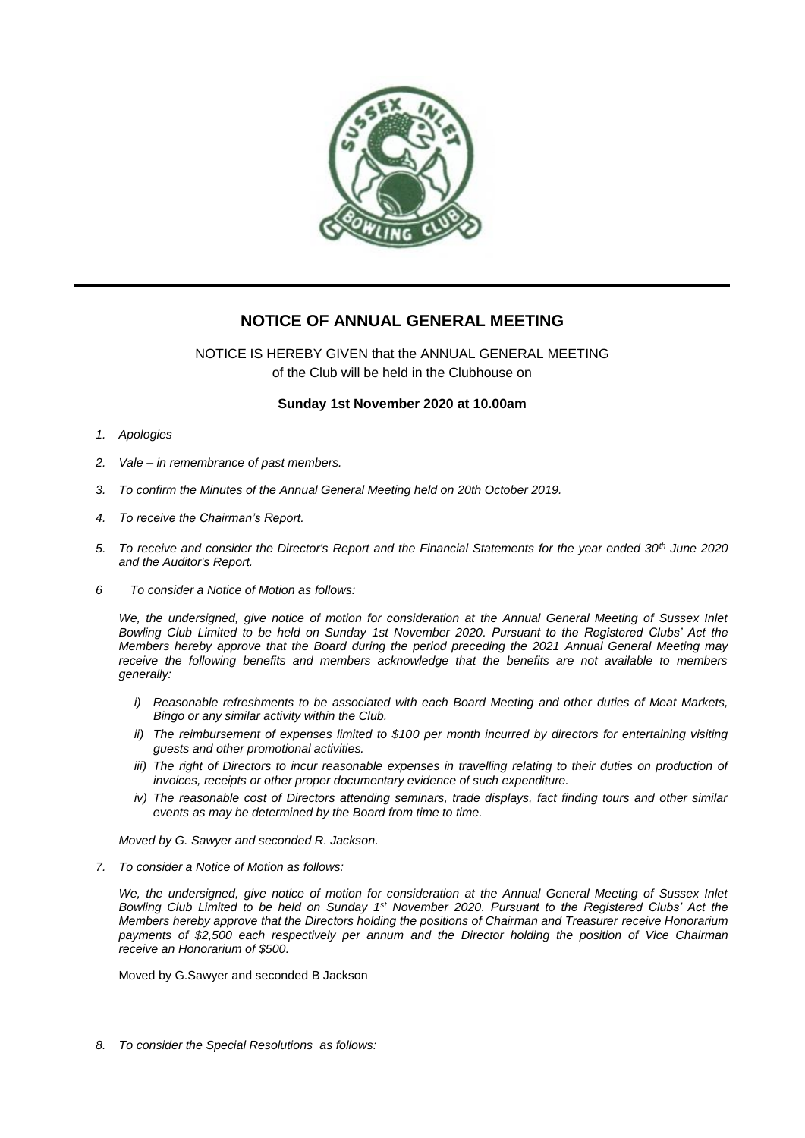

# **NOTICE OF ANNUAL GENERAL MEETING**

NOTICE IS HEREBY GIVEN that the ANNUAL GENERAL MEETING of the Club will be held in the Clubhouse on

### **Sunday 1st November 2020 at 10.00am**

- *1. Apologies*
- *2. Vale – in remembrance of past members.*
- *3. To confirm the Minutes of the Annual General Meeting held on 20th October 2019.*
- *4. To receive the Chairman's Report.*
- *5. To receive and consider the Director's Report and the Financial Statements for the year ended 30th June 2020 and the Auditor's Report.*
- *6 To consider a Notice of Motion as follows:*

*We, the undersigned, give notice of motion for consideration at the Annual General Meeting of Sussex Inlet Bowling Club Limited to be held on Sunday 1st November 2020. Pursuant to the Registered Clubs' Act the Members hereby approve that the Board during the period preceding the 2021 Annual General Meeting may receive the following benefits and members acknowledge that the benefits are not available to members generally:*

- *i) Reasonable refreshments to be associated with each Board Meeting and other duties of Meat Markets, Bingo or any similar activity within the Club.*
- *ii*) The reimbursement of expenses limited to \$100 per month incurred by directors for entertaining visiting *guests and other promotional activities.*
- *iii)* The right of Directors to incur reasonable expenses in travelling relating to their duties on production of *invoices, receipts or other proper documentary evidence of such expenditure.*
- *iv*) The reasonable cost of Directors attending seminars, trade displays, fact finding tours and other similar *events as may be determined by the Board from time to time.*

*Moved by G. Sawyer and seconded R. Jackson.* 

*7. To consider a Notice of Motion as follows:*

*We, the undersigned, give notice of motion for consideration at the Annual General Meeting of Sussex Inlet Bowling Club Limited to be held on Sunday 1<sup>st</sup> November 2020. Pursuant to the Registered Clubs' Act the Members hereby approve that the Directors holding the positions of Chairman and Treasurer receive Honorarium payments of \$2,500 each respectively per annum and the Director holding the position of Vice Chairman receive an Honorarium of \$500.*

Moved by G.Sawyer and seconded B Jackson

*8. To consider the Special Resolutions as follows:*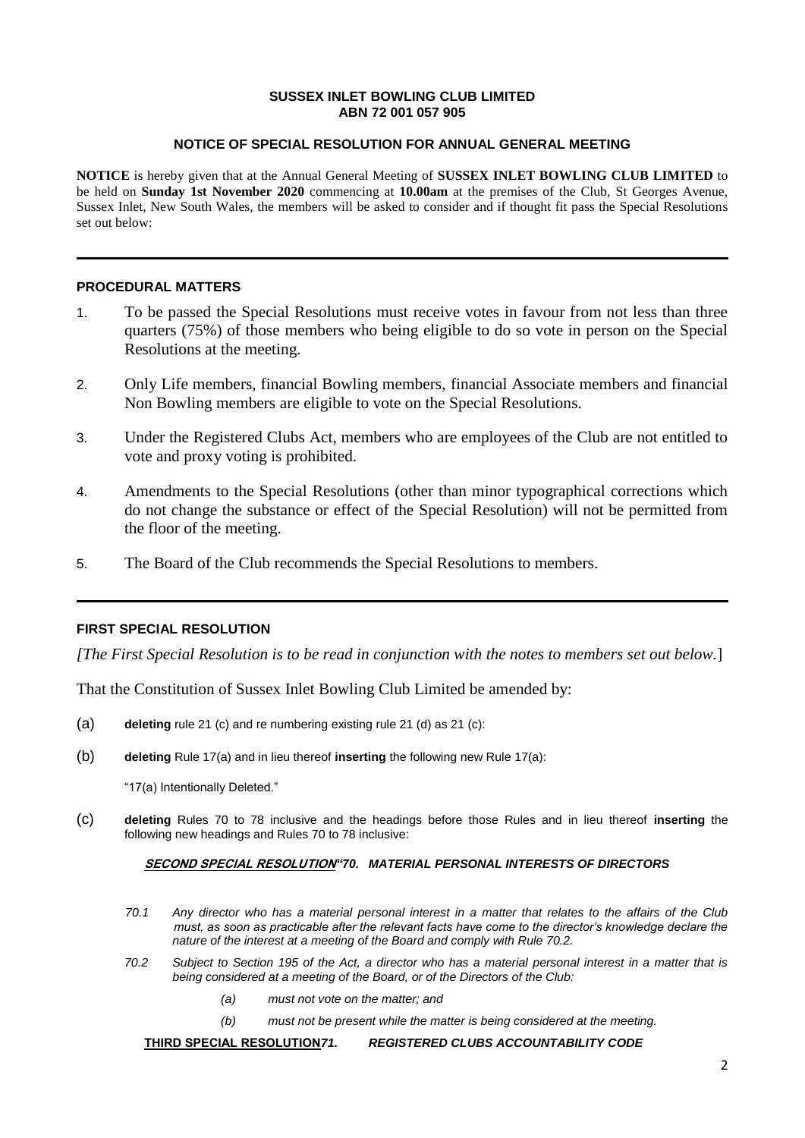#### **SUSSEX INLET BOWLING CLUB LIMITED ABN 72 001 057 905**

## **NOTICE OF SPECIAL RESOLUTION FOR ANNUAL GENERAL MEETING**

**NOTICE** is hereby given that at the Annual General Meeting of **SUSSEX INLET BOWLING CLUB LIMITED** to be held on **Sunday 1st November 2020** commencing at **10.00am** at the premises of the Club, St Georges Avenue, Sussex Inlet, New South Wales, the members will be asked to consider and if thought fit pass the Special Resolutions set out below:

## **PROCEDURAL MATTERS**

- 1. To be passed the Special Resolutions must receive votes in favour from not less than three quarters (75%) of those members who being eligible to do so vote in person on the Special Resolutions at the meeting.
- 2. Only Life members, financial Bowling members, financial Associate members and financial Non Bowling members are eligible to vote on the Special Resolutions.
- 3. Under the Registered Clubs Act, members who are employees of the Club are not entitled to vote and proxy voting is prohibited.
- 4. Amendments to the Special Resolutions (other than minor typographical corrections which do not change the substance or effect of the Special Resolution) will not be permitted from the floor of the meeting.
- 5. The Board of the Club recommends the Special Resolutions to members.

## **FIRST SPECIAL RESOLUTION**

*[The First Special Resolution is to be read in conjunction with the notes to members set out below.*]

That the Constitution of Sussex Inlet Bowling Club Limited be amended by:

- (a) **deleting** rule 21 (c) and re numbering existing rule 21 (d) as 21 (c):
- (b) **deleting** Rule 17(a) and in lieu thereof **inserting** the following new Rule 17(a):

"17(a) Intentionally Deleted."

(c) **deleting** Rules 70 to 78 inclusive and the headings before those Rules and in lieu thereof **inserting** the following new headings and Rules 70 to 78 inclusive:

#### **SECOND SPECIAL RESOLUTION***"70. MATERIAL PERSONAL INTERESTS OF DIRECTORS*

- *70.1 Any director who has a material personal interest in a matter that relates to the affairs of the Club must, as soon as practicable after the relevant facts have come to the director's knowledge declare the nature of the interest at a meeting of the Board and comply with Rule 70.2.*
- *70.2 Subject to Section 195 of the Act, a director who has a material personal interest in a matter that is being considered at a meeting of the Board, or of the Directors of the Club:*
	- *(a) must not vote on the matter; and*
	- *(b) must not be present while the matter is being considered at the meeting.*

**THIRD SPECIAL RESOLUTION***71. REGISTERED CLUBS ACCOUNTABILITY CODE*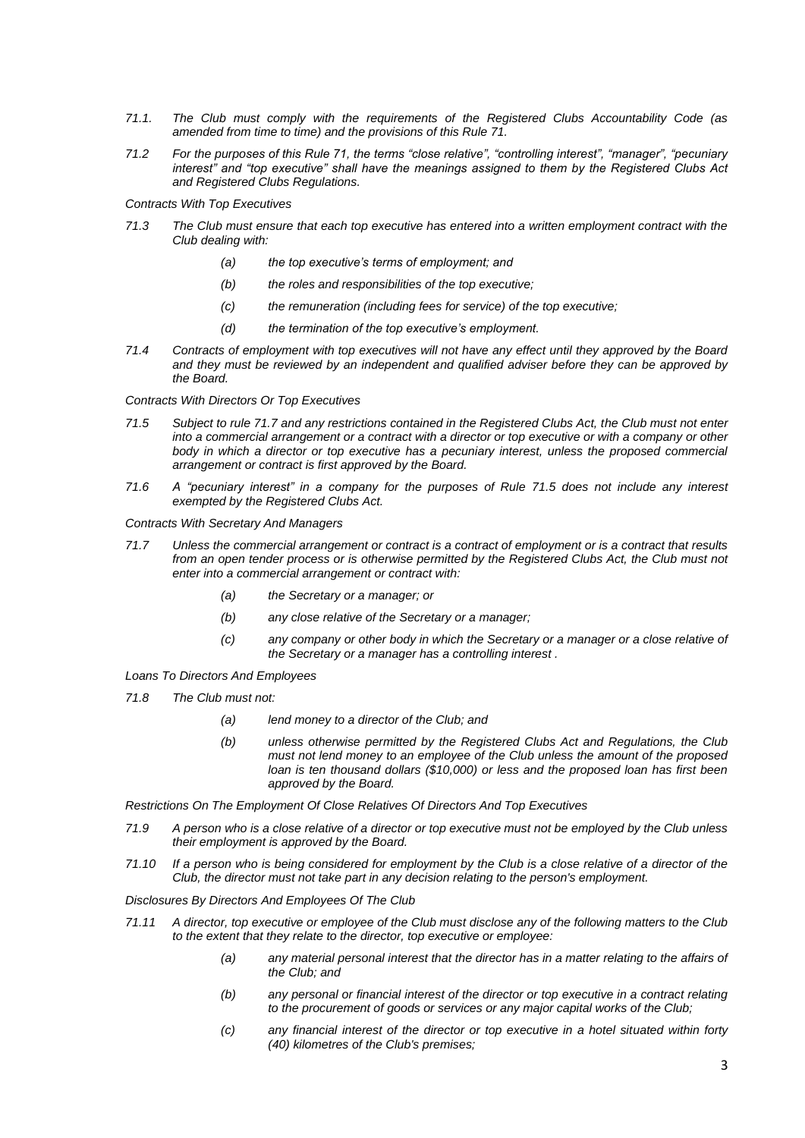- *71.1. The Club must comply with the requirements of the Registered Clubs Accountability Code (as amended from time to time) and the provisions of this Rule 71.*
- *71.2 For the purposes of this Rule 71, the terms "close relative", "controlling interest", "manager", "pecuniary interest" and "top executive" shall have the meanings assigned to them by the Registered Clubs Act and Registered Clubs Regulations.*

*Contracts With Top Executives*

- *71.3 The Club must ensure that each top executive has entered into a written employment contract with the Club dealing with:*
	- *(a) the top executive's terms of employment; and*
	- *(b) the roles and responsibilities of the top executive;*
	- *(c) the remuneration (including fees for service) of the top executive;*
	- *(d) the termination of the top executive's employment.*
- *71.4 Contracts of employment with top executives will not have any effect until they approved by the Board and they must be reviewed by an independent and qualified adviser before they can be approved by the Board.*

*Contracts With Directors Or Top Executives*

- *71.5 Subject to rule 71.7 and any restrictions contained in the Registered Clubs Act, the Club must not enter into a commercial arrangement or a contract with a director or top executive or with a company or other body in which a director or top executive has a pecuniary interest, unless the proposed commercial arrangement or contract is first approved by the Board.*
- *71.6 A "pecuniary interest" in a company for the purposes of Rule 71.5 does not include any interest exempted by the Registered Clubs Act.*

*Contracts With Secretary And Managers*

- *71.7 Unless the commercial arrangement or contract is a contract of employment or is a contract that results from an open tender process or is otherwise permitted by the Registered Clubs Act, the Club must not enter into a commercial arrangement or contract with:*
	- *(a) the Secretary or a manager; or*
	- *(b) any close relative of the Secretary or a manager;*
	- *(c) any company or other body in which the Secretary or a manager or a close relative of the Secretary or a manager has a controlling interest .*

*Loans To Directors And Employees*

- *71.8 The Club must not:*
	- *(a) lend money to a director of the Club; and*
	- *(b) unless otherwise permitted by the Registered Clubs Act and Regulations, the Club must not lend money to an employee of the Club unless the amount of the proposed loan is ten thousand dollars (\$10,000) or less and the proposed loan has first been approved by the Board.*

*Restrictions On The Employment Of Close Relatives Of Directors And Top Executives*

- *71.9 A person who is a close relative of a director or top executive must not be employed by the Club unless their employment is approved by the Board.*
- *71.10 If a person who is being considered for employment by the Club is a close relative of a director of the Club, the director must not take part in any decision relating to the person's employment.*

*Disclosures By Directors And Employees Of The Club*

- *71.11 A director, top executive or employee of the Club must disclose any of the following matters to the Club to the extent that they relate to the director, top executive or employee:*
	- *(a) any material personal interest that the director has in a matter relating to the affairs of the Club; and*
	- *(b) any personal or financial interest of the director or top executive in a contract relating to the procurement of goods or services or any major capital works of the Club;*
	- *(c) any financial interest of the director or top executive in a hotel situated within forty (40) kilometres of the Club's premises;*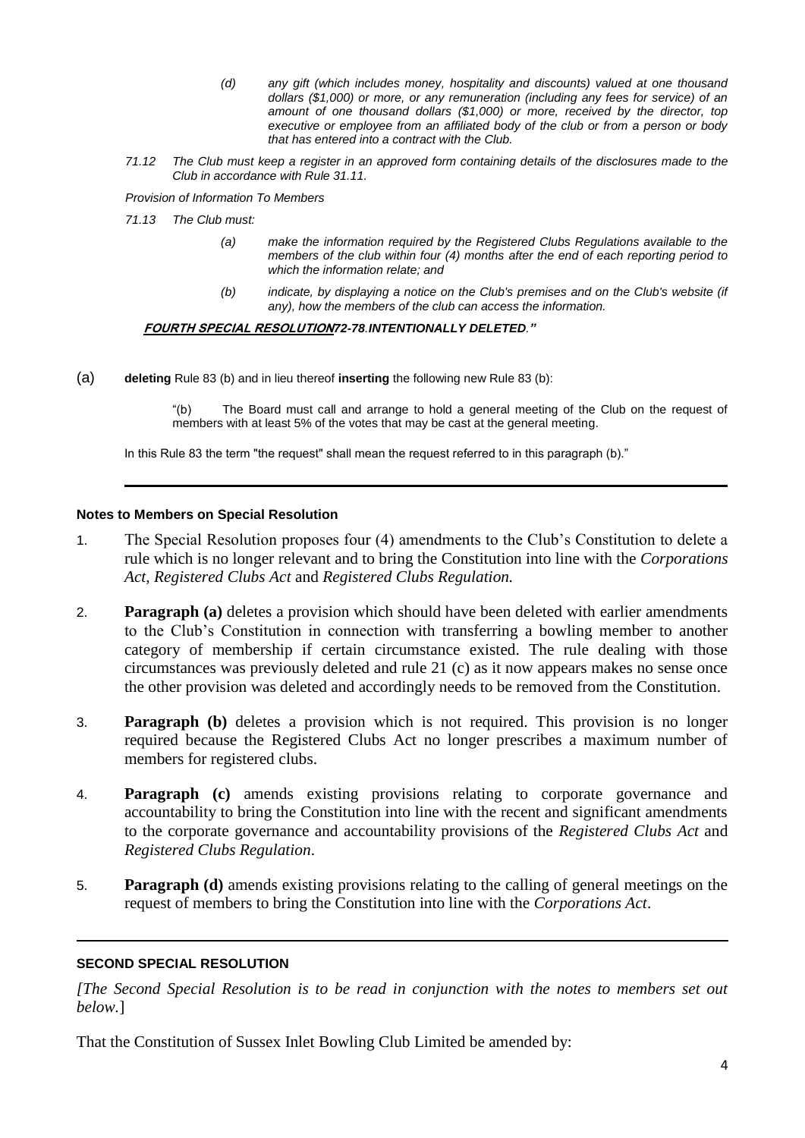- *(d) any gift (which includes money, hospitality and discounts) valued at one thousand dollars (\$1,000) or more, or any remuneration (including any fees for service) of an amount of one thousand dollars (\$1,000) or more, received by the director, top executive or employee from an affiliated body of the club or from a person or body that has entered into a contract with the Club.*
- *71.12 The Club must keep a register in an approved form containing details of the disclosures made to the Club in accordance with Rule 31.11.*

*Provision of Information To Members*

*71.13 The Club must:*

- *(a) make the information required by the Registered Clubs Regulations available to the members of the club within four (4) months after the end of each reporting period to which the information relate; and*
- *(b) indicate, by displaying a notice on the Club's premises and on the Club's website (if any), how the members of the club can access the information.*

**FOURTH SPECIAL RESOLUTION***72-78.INTENTIONALLY DELETED."*

(a) **deleting** Rule 83 (b) and in lieu thereof **inserting** the following new Rule 83 (b):

"(b) The Board must call and arrange to hold a general meeting of the Club on the request of members with at least 5% of the votes that may be cast at the general meeting.

In this Rule 83 the term "the request" shall mean the request referred to in this paragraph (b)."

### **Notes to Members on Special Resolution**

- 1. The Special Resolution proposes four (4) amendments to the Club's Constitution to delete a rule which is no longer relevant and to bring the Constitution into line with the *Corporations Act, Registered Clubs Act* and *Registered Clubs Regulation.*
- 2. **Paragraph (a)** deletes a provision which should have been deleted with earlier amendments to the Club's Constitution in connection with transferring a bowling member to another category of membership if certain circumstance existed. The rule dealing with those circumstances was previously deleted and rule 21 (c) as it now appears makes no sense once the other provision was deleted and accordingly needs to be removed from the Constitution.
- 3. **Paragraph (b)** deletes a provision which is not required. This provision is no longer required because the Registered Clubs Act no longer prescribes a maximum number of members for registered clubs.
- 4. **Paragraph (c)** amends existing provisions relating to corporate governance and accountability to bring the Constitution into line with the recent and significant amendments to the corporate governance and accountability provisions of the *Registered Clubs Act* and *Registered Clubs Regulation*.
- 5. **Paragraph (d)** amends existing provisions relating to the calling of general meetings on the request of members to bring the Constitution into line with the *Corporations Act*.

## **SECOND SPECIAL RESOLUTION**

*[The Second Special Resolution is to be read in conjunction with the notes to members set out below.*]

That the Constitution of Sussex Inlet Bowling Club Limited be amended by: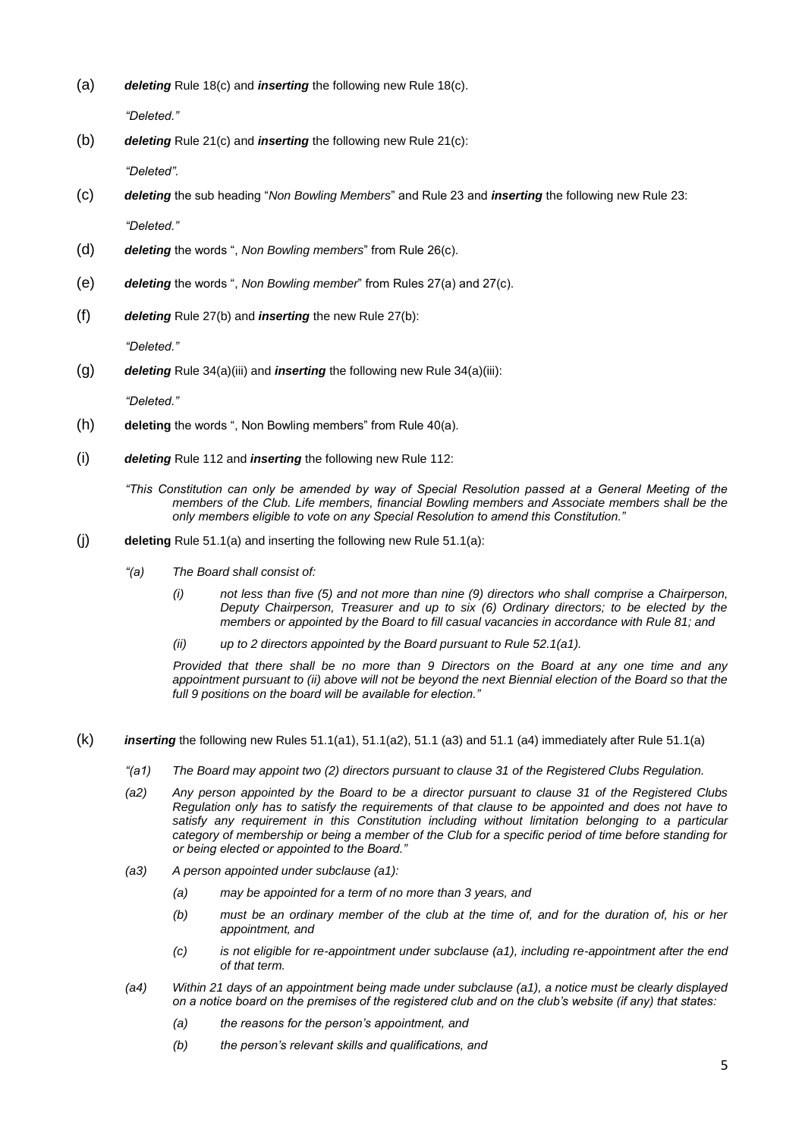(a) *deleting* Rule 18(c) and *inserting* the following new Rule 18(c).

*"Deleted."*

(b) *deleting* Rule 21(c) and *inserting* the following new Rule 21(c):

*"Deleted".*

- (c) *deleting* the sub heading "*Non Bowling Members*" and Rule 23 and *inserting* the following new Rule 23: *"Deleted."*
- (d) *deleting* the words ", *Non Bowling members*" from Rule 26(c).
- (e) *deleting* the words ", *Non Bowling member*" from Rules 27(a) and 27(c).
- (f) *deleting* Rule 27(b) and *inserting* the new Rule 27(b):

*"Deleted."*

(g) *deleting* Rule 34(a)(iii) and *inserting* the following new Rule 34(a)(iii):

*"Deleted."*

- (h) **deleting** the words ", Non Bowling members" from Rule 40(a).
- (i) *deleting* Rule 112 and *inserting* the following new Rule 112:
	- *"This Constitution can only be amended by way of Special Resolution passed at a General Meeting of the members of the Club. Life members, financial Bowling members and Associate members shall be the only members eligible to vote on any Special Resolution to amend this Constitution."*
- (j) **deleting** Rule 51.1(a) and inserting the following new Rule 51.1(a):
	- *"(a) The Board shall consist of:* 
		- *(i) not less than five (5) and not more than nine (9) directors who shall comprise a Chairperson, Deputy Chairperson, Treasurer and up to six (6) Ordinary directors; to be elected by the members or appointed by the Board to fill casual vacancies in accordance with Rule 81; and*
		- *(ii) up to 2 directors appointed by the Board pursuant to Rule 52.1(a1).*

*Provided that there shall be no more than 9 Directors on the Board at any one time and any appointment pursuant to (ii) above will not be beyond the next Biennial election of the Board so that the full 9 positions on the board will be available for election."*

- (k) *inserting* the following new Rules 51.1(a1), 51.1(a2), 51.1 (a3) and 51.1 (a4) immediately after Rule 51.1(a)
	- *"(a1) The Board may appoint two (2) directors pursuant to clause 31 of the Registered Clubs Regulation.*
	- *(a2) Any person appointed by the Board to be a director pursuant to clause 31 of the Registered Clubs Regulation only has to satisfy the requirements of that clause to be appointed and does not have to satisfy any requirement in this Constitution including without limitation belonging to a particular category of membership or being a member of the Club for a specific period of time before standing for or being elected or appointed to the Board."*
	- *(a3) A person appointed under subclause (a1):*
		- *(a) may be appointed for a term of no more than 3 years, and*
		- *(b) must be an ordinary member of the club at the time of, and for the duration of, his or her appointment, and*
		- *(c) is not eligible for re-appointment under subclause (a1), including re-appointment after the end of that term.*
	- *(a4) Within 21 days of an appointment being made under subclause (a1), a notice must be clearly displayed on a notice board on the premises of the registered club and on the club's website (if any) that states:*
		- *(a) the reasons for the person's appointment, and*
		- *(b) the person's relevant skills and qualifications, and*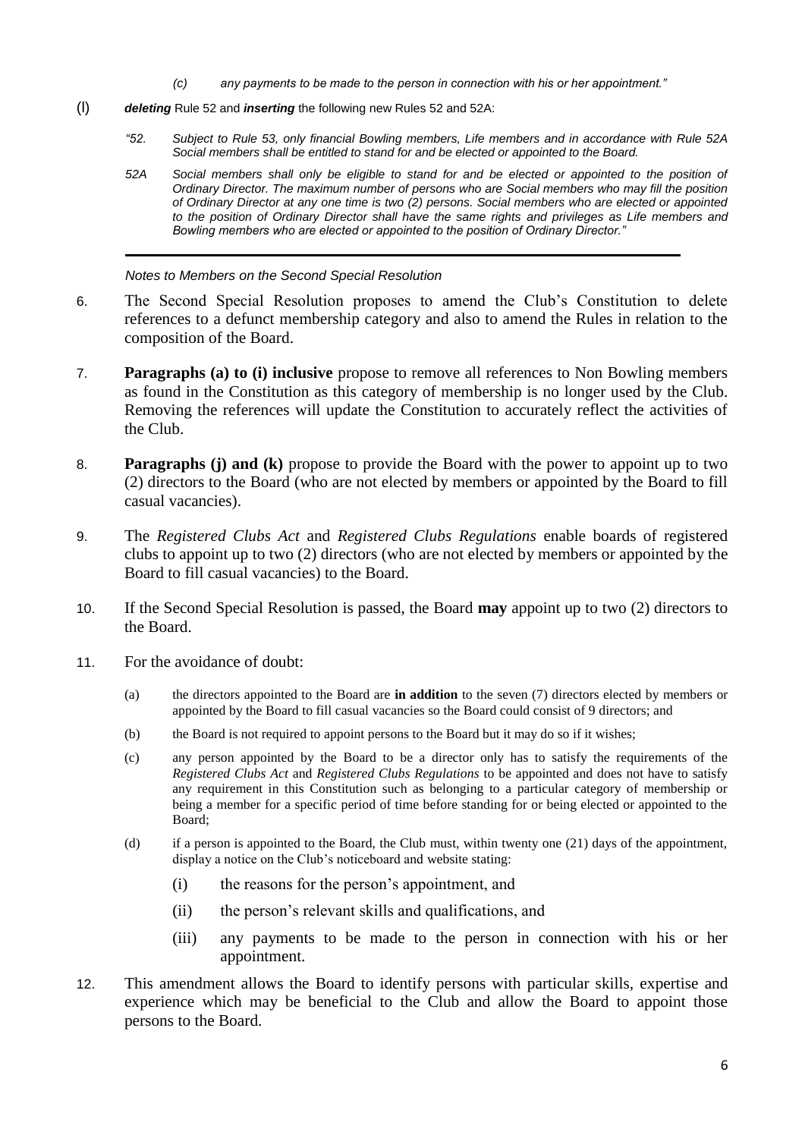- *(c) any payments to be made to the person in connection with his or her appointment."*
- (l) *deleting* Rule 52 and *inserting* the following new Rules 52 and 52A:
	- *"52. Subject to Rule 53, only financial Bowling members, Life members and in accordance with Rule 52A Social members shall be entitled to stand for and be elected or appointed to the Board.*
	- *52A Social members shall only be eligible to stand for and be elected or appointed to the position of Ordinary Director. The maximum number of persons who are Social members who may fill the position of Ordinary Director at any one time is two (2) persons. Social members who are elected or appointed to the position of Ordinary Director shall have the same rights and privileges as Life members and Bowling members who are elected or appointed to the position of Ordinary Director."*

*Notes to Members on the Second Special Resolution*

- 6. The Second Special Resolution proposes to amend the Club's Constitution to delete references to a defunct membership category and also to amend the Rules in relation to the composition of the Board.
- 7. **Paragraphs (a) to (i) inclusive** propose to remove all references to Non Bowling members as found in the Constitution as this category of membership is no longer used by the Club. Removing the references will update the Constitution to accurately reflect the activities of the Club.
- 8. **Paragraphs (j) and (k)** propose to provide the Board with the power to appoint up to two (2) directors to the Board (who are not elected by members or appointed by the Board to fill casual vacancies).
- 9. The *Registered Clubs Act* and *Registered Clubs Regulations* enable boards of registered clubs to appoint up to two (2) directors (who are not elected by members or appointed by the Board to fill casual vacancies) to the Board.
- 10. If the Second Special Resolution is passed, the Board **may** appoint up to two (2) directors to the Board.
- 11. For the avoidance of doubt:
	- (a) the directors appointed to the Board are **in addition** to the seven (7) directors elected by members or appointed by the Board to fill casual vacancies so the Board could consist of 9 directors; and
	- (b) the Board is not required to appoint persons to the Board but it may do so if it wishes;
	- (c) any person appointed by the Board to be a director only has to satisfy the requirements of the *Registered Clubs Act* and *Registered Clubs Regulations* to be appointed and does not have to satisfy any requirement in this Constitution such as belonging to a particular category of membership or being a member for a specific period of time before standing for or being elected or appointed to the Board;
	- (d) if a person is appointed to the Board, the Club must, within twenty one (21) days of the appointment, display a notice on the Club's noticeboard and website stating:
		- (i) the reasons for the person's appointment, and
		- (ii) the person's relevant skills and qualifications, and
		- (iii) any payments to be made to the person in connection with his or her appointment.
- 12. This amendment allows the Board to identify persons with particular skills, expertise and experience which may be beneficial to the Club and allow the Board to appoint those persons to the Board.